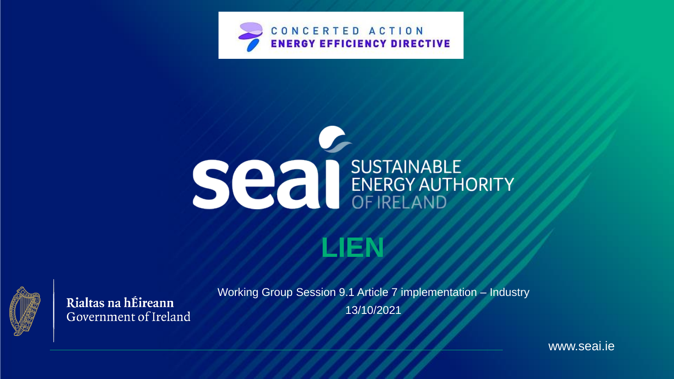





Rialtas na hÉireann Government of Ireland Working Group Session 9.1 Article 7 implementation – Industry 13/10/2021

www.seai.ie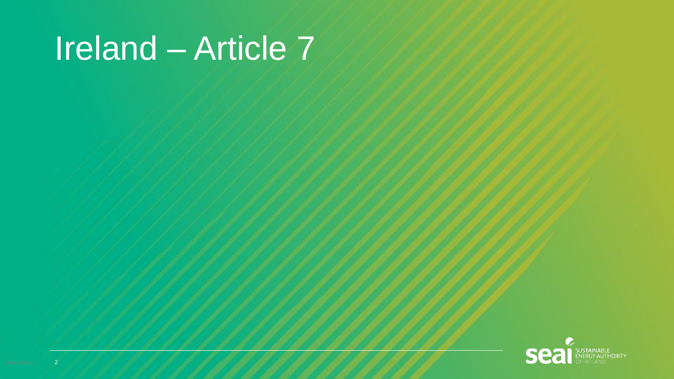# Ireland – Article 7

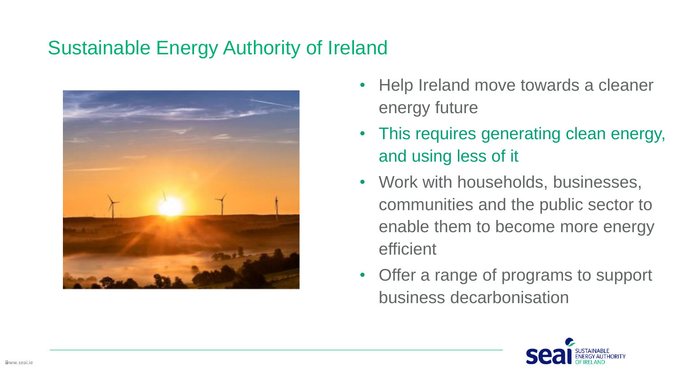#### Sustainable Energy Authority of Ireland



- Help Ireland move towards a cleaner energy future
- This requires generating clean energy, and using less of it
- Work with households, businesses, communities and the public sector to enable them to become more energy efficient
- Offer a range of programs to support business decarbonisation

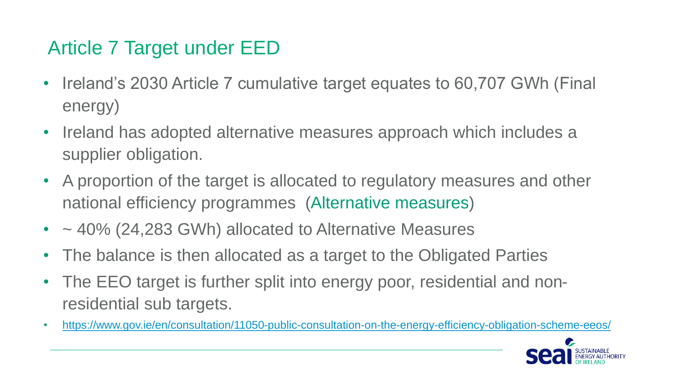#### Article 7 Target under EED

- Ireland's 2030 Article 7 cumulative target equates to 60,707 GWh (Final energy)
- Ireland has adopted alternative measures approach which includes a supplier obligation.
- A proportion of the target is allocated to regulatory measures and other national efficiency programmes (Alternative measures)
- ~ 40% (24,283 GWh) allocated to Alternative Measures
- The balance is then allocated as a target to the Obligated Parties
- The EEO target is further split into energy poor, residential and nonresidential sub targets.
- <https://www.gov.ie/en/consultation/11050-public-consultation-on-the-energy-efficiency-obligation-scheme-eeos/>

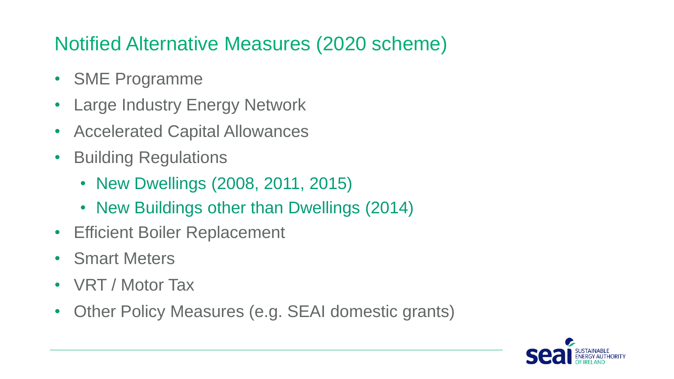# Notified Alternative Measures (2020 scheme)

- SME Programme
- Large Industry Energy Network
- Accelerated Capital Allowances
- Building Regulations
	- New Dwellings (2008, 2011, 2015)
	- New Buildings other than Dwellings (2014)
- Efficient Boiler Replacement
- Smart Meters
- VRT / Motor Tax
- Other Policy Measures (e.g. SEAI domestic grants)

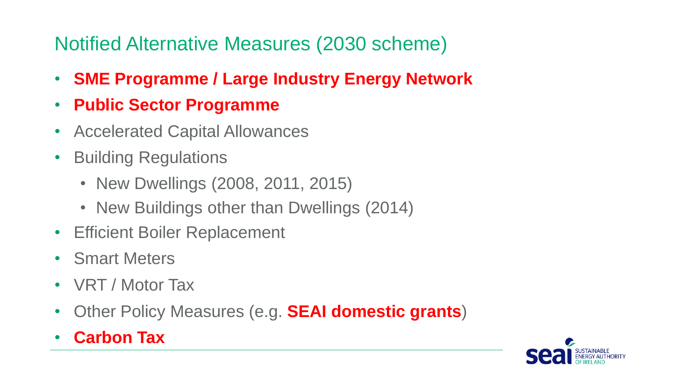# Notified Alternative Measures (2030 scheme)

- **SME Programme / Large Industry Energy Network**
- **Public Sector Programme**
- Accelerated Capital Allowances
- Building Regulations
	- New Dwellings (2008, 2011, 2015)
	- New Buildings other than Dwellings (2014)
- Efficient Boiler Replacement
- Smart Meters
- VRT / Motor Tax
- Other Policy Measures (e.g. **SEAI domestic grants**)
- **Carbon Tax**

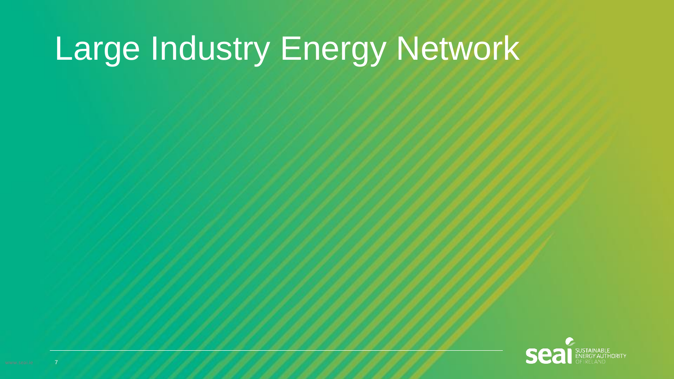# Large Industry Energy Network

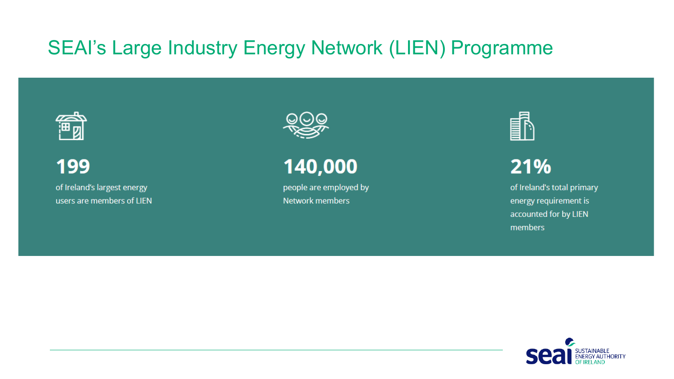細図

199 of Ireland's largest energy users are members of LIEN



140,000

people are employed by **Network members** 



21%

of Ireland's total primary energy requirement is accounted for by LIEN members

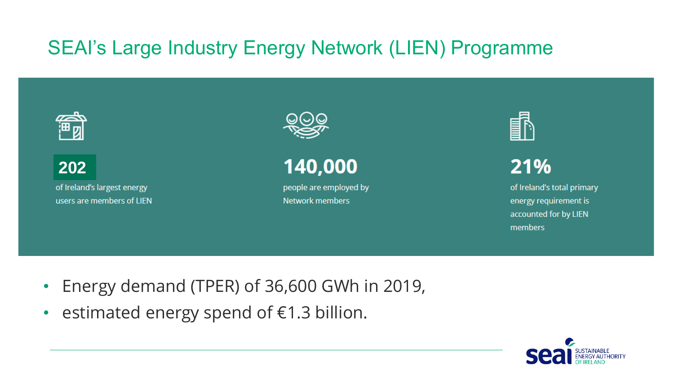:⊞ ற

**202**of Ireland's largest energy users are members of LIEN



140,000

people are employed by **Network members** 



21%

of Ireland's total primary energy requirement is accounted for by LIEN members

- Energy demand (TPER) of 36,600 GWh in 2019,
- estimated energy spend of €1.3 billion.

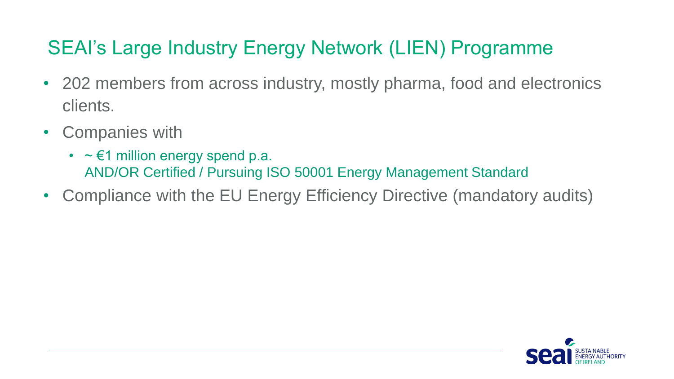- 202 members from across industry, mostly pharma, food and electronics clients.
- Companies with
	- $\sim \epsilon$ 1 million energy spend p.a. AND/OR Certified / Pursuing ISO 50001 Energy Management Standard
- Compliance with the EU Energy Efficiency Directive (mandatory audits)

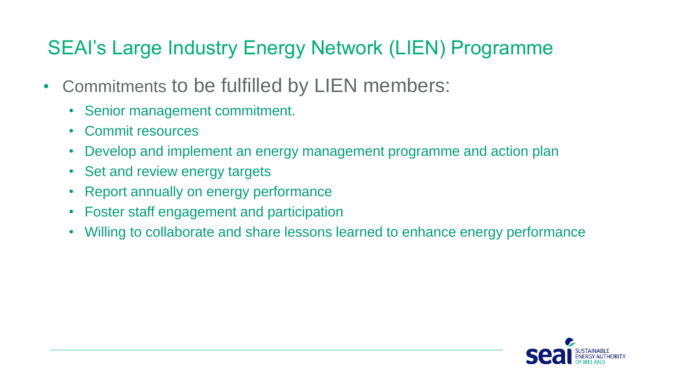- Commitments to be fulfilled by LIEN members:
	- Senior management commitment.
	- Commit resources
	- Develop and implement an energy management programme and action plan
	- Set and review energy targets
	- Report annually on energy performance
	- Foster staff engagement and participation
	- Willing to collaborate and share lessons learned to enhance energy performance

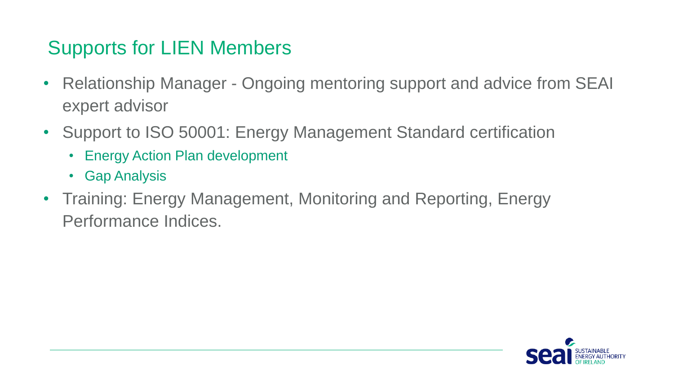#### Supports for LIEN Members

- Relationship Manager Ongoing mentoring support and advice from SEAI expert advisor
- Support to ISO 50001: Energy Management Standard certification
	- Energy Action Plan development
	- Gap Analysis
- Training: Energy Management, Monitoring and Reporting, Energy Performance Indices.

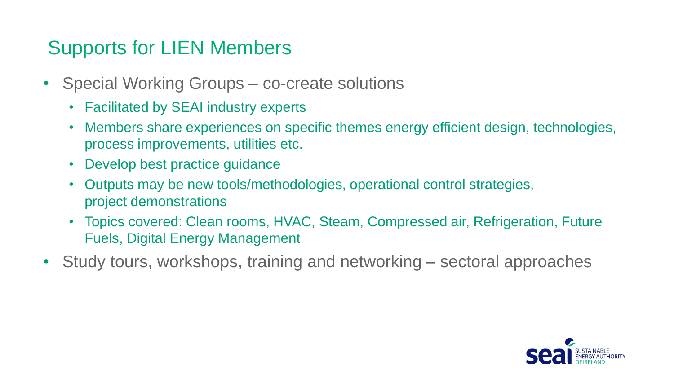#### Supports for LIEN Members

- Special Working Groups co-create solutions
	- Facilitated by SEAI industry experts
	- Members share experiences on specific themes energy efficient design, technologies, process improvements, utilities etc.
	- Develop best practice guidance
	- Outputs may be new tools/methodologies, operational control strategies, project demonstrations
	- Topics covered: Clean rooms, HVAC, Steam, Compressed air, Refrigeration, Future Fuels, Digital Energy Management
- Study tours, workshops, training and networking sectoral approaches

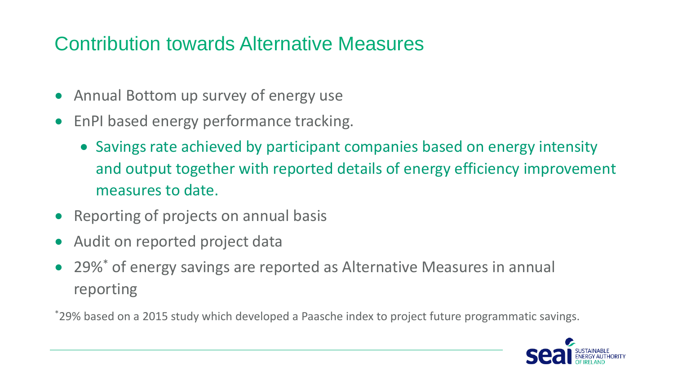#### Contribution towards Alternative Measures

- Annual Bottom up survey of energy use
- EnPI based energy performance tracking.
	- Savings rate achieved by participant companies based on energy intensity and output together with reported details of energy efficiency improvement measures to date.
- Reporting of projects on annual basis
- Audit on reported project data
- 29%\* of energy savings are reported as Alternative Measures in annual reporting

\*29% based on a 2015 study which developed a Paasche index to project future programmatic savings.

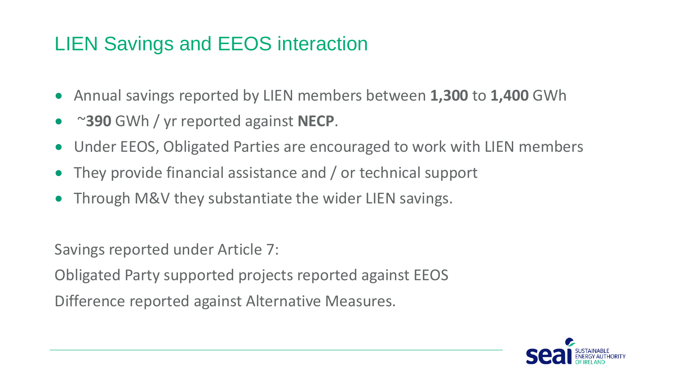### LIEN Savings and EEOS interaction

- Annual savings reported by LIEN members between **1,300** to **1,400** GWh
- ~**390** GWh / yr reported against **NECP**.
- Under EEOS, Obligated Parties are encouraged to work with LIEN members
- They provide financial assistance and / or technical support
- Through M&V they substantiate the wider LIEN savings.

Savings reported under Article 7:

Obligated Party supported projects reported against EEOS

Difference reported against Alternative Measures.

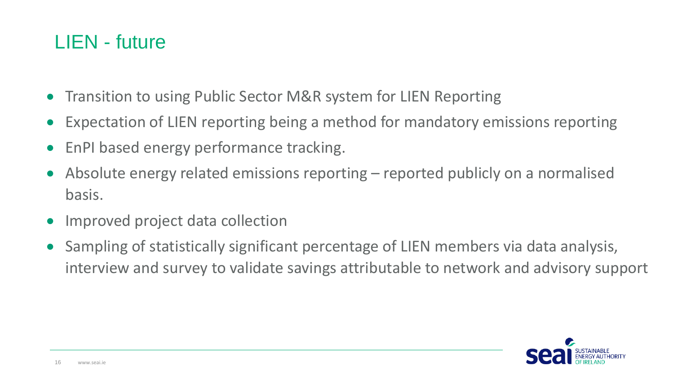#### LIEN - future

- Transition to using Public Sector M&R system for LIEN Reporting
- Expectation of LIEN reporting being a method for mandatory emissions reporting
- EnPI based energy performance tracking.
- Absolute energy related emissions reporting reported publicly on a normalised basis.
- Improved project data collection
- Sampling of statistically significant percentage of LIEN members via data analysis, interview and survey to validate savings attributable to network and advisory support